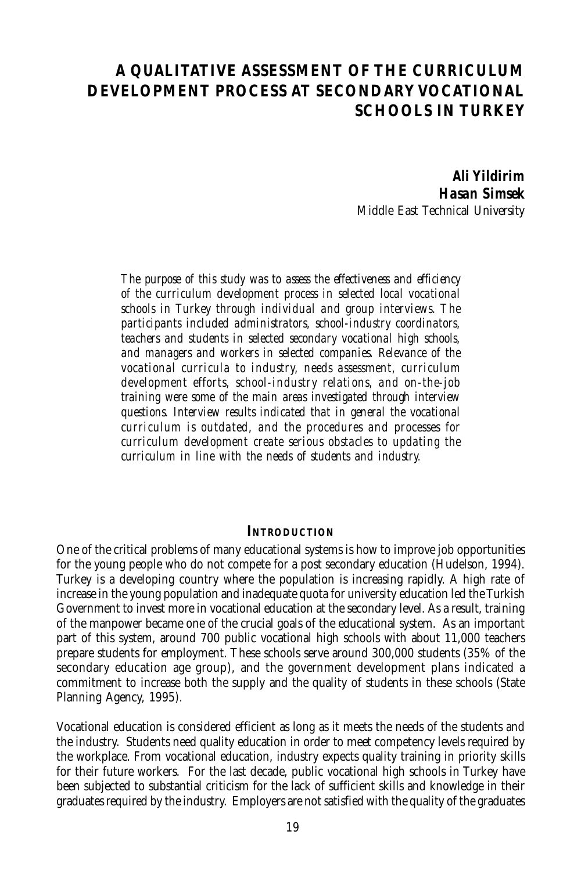# **A QUALITATIVE ASSESSMENT OF THE CURRICULUM DEVELOPMENT PROCESS AT SECONDARY VOCATIONAL SCHOOLS IN TURKEY**

*Ali Yildirim Hasan Simsek* Middle East Technical University

*The purpose of this study was to assess the effectiveness and efficiency of the curriculum development process in selected local vocational schools in Turkey through individual and group interviews. The participants included administrators, school-industry coordinators, teachers and students in selected secondary vocational high schools, and managers and workers in selected companies. Relevance of the vocational curricula to industry, needs assessment, curriculum development efforts, school-industry relations, and on-the-job training were some of the main areas investigated through interview questions. Interview results indicated that in general the vocational curriculum is outdated, and the procedures and processes for curriculum development create serious obstacles to updating the curriculum in line with the needs of students and industry.*

#### **INTRODUCTION**

One of the critical problems of many educational systems is how to improve job opportunities for the young people who do not compete for a post secondary education (Hudelson, 1994). Turkey is a developing country where the population is increasing rapidly. A high rate of increase in the young population and inadequate quota for university education led the Turkish Government to invest more in vocational education at the secondary level. As a result, training of the manpower became one of the crucial goals of the educational system. As an important part of this system, around 700 public vocational high schools with about 11,000 teachers prepare students for employment. These schools serve around 300,000 students (35% of the secondary education age group), and the government development plans indicated a commitment to increase both the supply and the quality of students in these schools (State Planning Agency, 1995).

Vocational education is considered efficient as long as it meets the needs of the students and the industry. Students need quality education in order to meet competency levels required by the workplace. From vocational education, industry expects quality training in priority skills for their future workers. For the last decade, public vocational high schools in Turkey have been subjected to substantial criticism for the lack of sufficient skills and knowledge in their graduates required by the industry. Employers are not satisfied with the quality of the graduates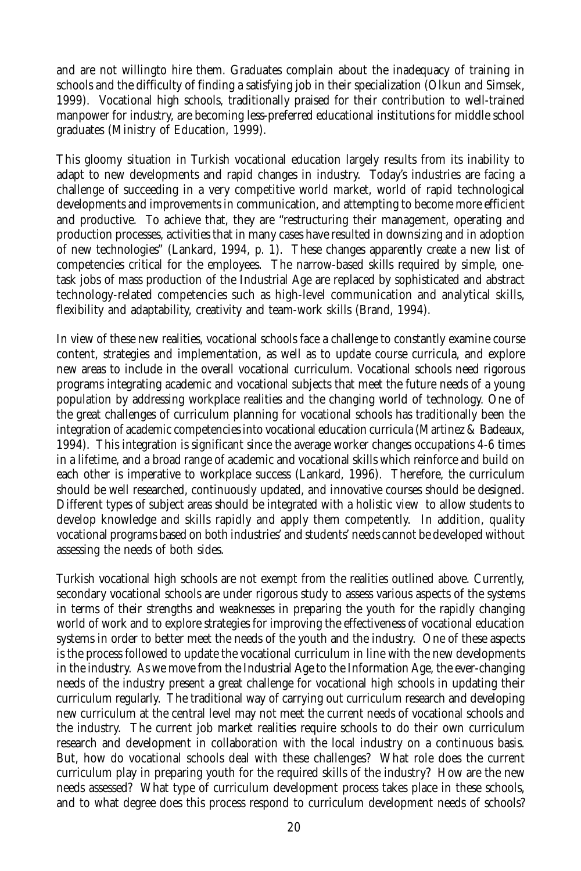and are not willingto hire them. Graduates complain about the inadequacy of training in schools and the difficulty of finding a satisfying job in their specialization (Olkun and Simsek, 1999). Vocational high schools, traditionally praised for their contribution to well-trained manpower for industry, are becoming less-preferred educational institutions for middle school graduates (Ministry of Education, 1999).

This gloomy situation in Turkish vocational education largely results from its inability to adapt to new developments and rapid changes in industry. Today's industries are facing a challenge of succeeding in a very competitive world market, world of rapid technological developments and improvements in communication, and attempting to become more efficient and productive. To achieve that, they are "restructuring their management, operating and production processes, activities that in many cases have resulted in downsizing and in adoption of new technologies" (Lankard, 1994, p. 1). These changes apparently create a new list of competencies critical for the employees. The narrow-based skills required by simple, onetask jobs of mass production of the Industrial Age are replaced by sophisticated and abstract technology-related competencies such as high-level communication and analytical skills, flexibility and adaptability, creativity and team-work skills (Brand, 1994).

In view of these new realities, vocational schools face a challenge to constantly examine course content, strategies and implementation, as well as to update course curricula, and explore new areas to include in the overall vocational curriculum. Vocational schools need rigorous programs integrating academic and vocational subjects that meet the future needs of a young population by addressing workplace realities and the changing world of technology. One of the great challenges of curriculum planning for vocational schools has traditionally been the integration of academic competencies into vocational education curricula (Martinez & Badeaux, 1994). This integration is significant since the average worker changes occupations 4-6 times in a lifetime, and a broad range of academic and vocational skills which reinforce and build on each other is imperative to workplace success (Lankard, 1996). Therefore, the curriculum should be well researched, continuously updated, and innovative courses should be designed. Different types of subject areas should be integrated with a holistic view to allow students to develop knowledge and skills rapidly and apply them competently. In addition, quality vocational programs based on both industries' and students' needs cannot be developed without assessing the needs of both sides.

Turkish vocational high schools are not exempt from the realities outlined above. Currently, secondary vocational schools are under rigorous study to assess various aspects of the systems in terms of their strengths and weaknesses in preparing the youth for the rapidly changing world of work and to explore strategies for improving the effectiveness of vocational education systems in order to better meet the needs of the youth and the industry. One of these aspects is the process followed to update the vocational curriculum in line with the new developments in the industry. As we move from the Industrial Age to the Information Age, the ever-changing needs of the industry present a great challenge for vocational high schools in updating their curriculum regularly. The traditional way of carrying out curriculum research and developing new curriculum at the central level may not meet the current needs of vocational schools and the industry. The current job market realities require schools to do their own curriculum research and development in collaboration with the local industry on a continuous basis. But, how do vocational schools deal with these challenges? What role does the current curriculum play in preparing youth for the required skills of the industry? How are the new needs assessed? What type of curriculum development process takes place in these schools, and to what degree does this process respond to curriculum development needs of schools?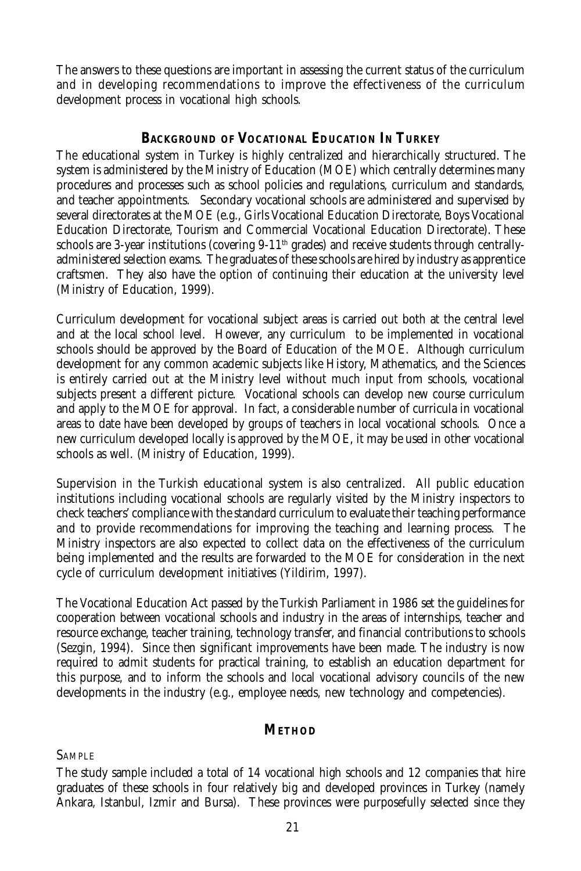The answers to these questions are important in assessing the current status of the curriculum and in developing recommendations to improve the effectiveness of the curriculum development process in vocational high schools.

# **BACKGROUND OF VOCATIONAL EDUCATION IN TURKEY**

The educational system in Turkey is highly centralized and hierarchically structured. The system is administered by the Ministry of Education (MOE) which centrally determines many procedures and processes such as school policies and regulations, curriculum and standards, and teacher appointments. Secondary vocational schools are administered and supervised by several directorates at the MOE (e.g., Girls Vocational Education Directorate, Boys Vocational Education Directorate, Tourism and Commercial Vocational Education Directorate). These schools are 3-year institutions (covering  $9-11<sup>th</sup>$  grades) and receive students through centrallyadministered selection exams. The graduates of these schools are hired by industry as apprentice craftsmen. They also have the option of continuing their education at the university level (Ministry of Education, 1999).

Curriculum development for vocational subject areas is carried out both at the central level and at the local school level. However, any curriculum to be implemented in vocational schools should be approved by the Board of Education of the MOE. Although curriculum development for any common academic subjects like History, Mathematics, and the Sciences is entirely carried out at the Ministry level without much input from schools, vocational subjects present a different picture. Vocational schools can develop new course curriculum and apply to the MOE for approval. In fact, a considerable number of curricula in vocational areas to date have been developed by groups of teachers in local vocational schools. Once a new curriculum developed locally is approved by the MOE, it may be used in other vocational schools as well. (Ministry of Education, 1999).

Supervision in the Turkish educational system is also centralized. All public education institutions including vocational schools are regularly visited by the Ministry inspectors to check teachers' compliance with the standard curriculum to evaluate their teaching performance and to provide recommendations for improving the teaching and learning process. The Ministry inspectors are also expected to collect data on the effectiveness of the curriculum being implemented and the results are forwarded to the MOE for consideration in the next cycle of curriculum development initiatives (Yildirim, 1997).

The Vocational Education Act passed by the Turkish Parliament in 1986 set the guidelines for cooperation between vocational schools and industry in the areas of internships, teacher and resource exchange, teacher training, technology transfer, and financial contributions to schools (Sezgin, 1994). Since then significant improvements have been made. The industry is now required to admit students for practical training, to establish an education department for this purpose, and to inform the schools and local vocational advisory councils of the new developments in the industry (e.g., employee needs, new technology and competencies).

#### **METHOD**

**SAMPLE** 

The study sample included a total of 14 vocational high schools and 12 companies that hire graduates of these schools in four relatively big and developed provinces in Turkey (namely Ankara, Istanbul, Izmir and Bursa). These provinces were purposefully selected since they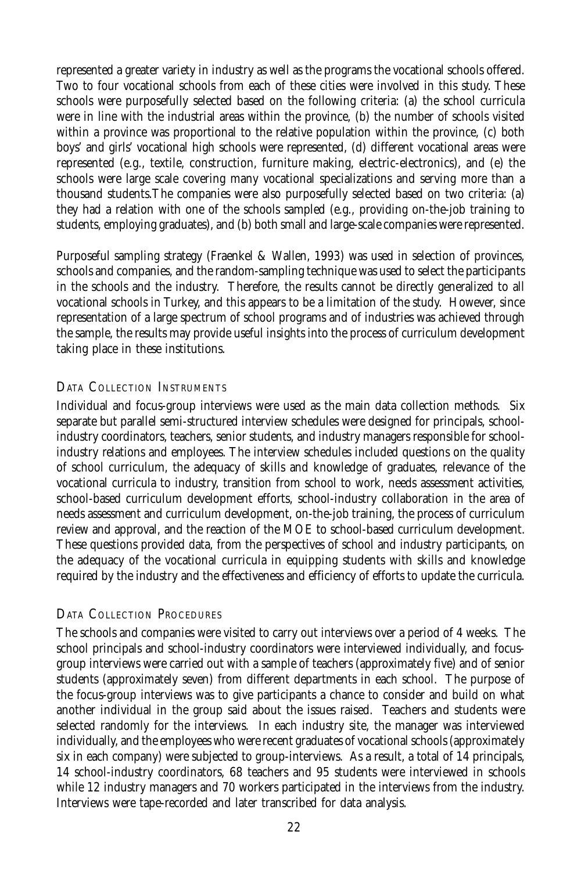represented a greater variety in industry as well as the programs the vocational schools offered. Two to four vocational schools from each of these cities were involved in this study. These schools were purposefully selected based on the following criteria: (a) the school curricula were in line with the industrial areas within the province, (b) the number of schools visited within a province was proportional to the relative population within the province, (c) both boys' and girls' vocational high schools were represented, (d) different vocational areas were represented (e.g., textile, construction, furniture making, electric-electronics), and (e) the schools were large scale covering many vocational specializations and serving more than a thousand students.The companies were also purposefully selected based on two criteria: (a) they had a relation with one of the schools sampled (e.g., providing on-the-job training to students, employing graduates), and (b) both small and large-scale companies were represented.

Purposeful sampling strategy (Fraenkel & Wallen, 1993) was used in selection of provinces, schools and companies, and the random-sampling technique was used to select the participants in the schools and the industry. Therefore, the results cannot be directly generalized to all vocational schools in Turkey, and this appears to be a limitation of the study. However, since representation of a large spectrum of school programs and of industries was achieved through the sample, the results may provide useful insights into the process of curriculum development taking place in these institutions.

## DATA COLLECTION INSTRUMENTS

Individual and focus-group interviews were used as the main data collection methods. Six separate but parallel semi-structured interview schedules were designed for principals, schoolindustry coordinators, teachers, senior students, and industry managers responsible for schoolindustry relations and employees. The interview schedules included questions on the quality of school curriculum, the adequacy of skills and knowledge of graduates, relevance of the vocational curricula to industry, transition from school to work, needs assessment activities, school-based curriculum development efforts, school-industry collaboration in the area of needs assessment and curriculum development, on-the-job training, the process of curriculum review and approval, and the reaction of the MOE to school-based curriculum development. These questions provided data, from the perspectives of school and industry participants, on the adequacy of the vocational curricula in equipping students with skills and knowledge required by the industry and the effectiveness and efficiency of efforts to update the curricula.

## DATA COLLECTION PROCEDURES

The schools and companies were visited to carry out interviews over a period of 4 weeks. The school principals and school-industry coordinators were interviewed individually, and focusgroup interviews were carried out with a sample of teachers (approximately five) and of senior students (approximately seven) from different departments in each school. The purpose of the focus-group interviews was to give participants a chance to consider and build on what another individual in the group said about the issues raised. Teachers and students were selected randomly for the interviews. In each industry site, the manager was interviewed individually, and the employees who were recent graduates of vocational schools (approximately six in each company) were subjected to group-interviews. As a result, a total of 14 principals, 14 school-industry coordinators, 68 teachers and 95 students were interviewed in schools while 12 industry managers and 70 workers participated in the interviews from the industry. Interviews were tape-recorded and later transcribed for data analysis.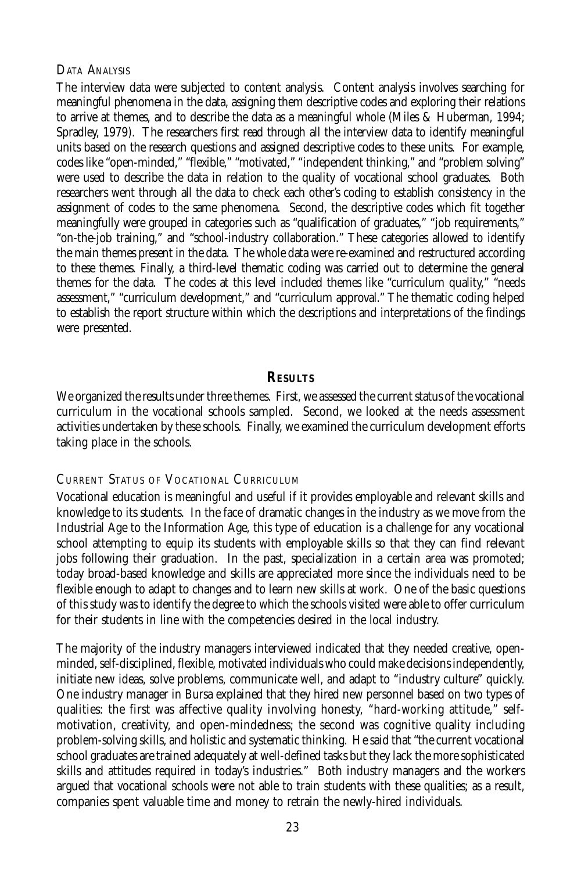#### DATA ANALYSIS

The interview data were subjected to content analysis. Content analysis involves searching for meaningful phenomena in the data, assigning them descriptive codes and exploring their relations to arrive at themes, and to describe the data as a meaningful whole (Miles & Huberman, 1994; Spradley, 1979). The researchers first read through all the interview data to identify meaningful units based on the research questions and assigned descriptive codes to these units. For example, codes like "open-minded," "flexible," "motivated," "independent thinking," and "problem solving" were used to describe the data in relation to the quality of vocational school graduates. Both researchers went through all the data to check each other's coding to establish consistency in the assignment of codes to the same phenomena. Second, the descriptive codes which fit together meaningfully were grouped in categories such as "qualification of graduates," "job requirements," "on-the-job training," and "school-industry collaboration." These categories allowed to identify the main themes present in the data. The whole data were re-examined and restructured according to these themes. Finally, a third-level thematic coding was carried out to determine the general themes for the data. The codes at this level included themes like "curriculum quality," "needs assessment," "curriculum development," and "curriculum approval." The thematic coding helped to establish the report structure within which the descriptions and interpretations of the findings were presented.

#### **RESULTS**

We organized the results under three themes. First, we assessed the current status of the vocational curriculum in the vocational schools sampled. Second, we looked at the needs assessment activities undertaken by these schools. Finally, we examined the curriculum development efforts taking place in the schools.

#### CURRENT STATUS OF VOCATIONAL CURRICULUM

Vocational education is meaningful and useful if it provides employable and relevant skills and knowledge to its students. In the face of dramatic changes in the industry as we move from the Industrial Age to the Information Age, this type of education is a challenge for any vocational school attempting to equip its students with employable skills so that they can find relevant jobs following their graduation. In the past, specialization in a certain area was promoted; today broad-based knowledge and skills are appreciated more since the individuals need to be flexible enough to adapt to changes and to learn new skills at work. One of the basic questions of this study was to identify the degree to which the schools visited were able to offer curriculum for their students in line with the competencies desired in the local industry.

The majority of the industry managers interviewed indicated that they needed creative, openminded, self-disciplined, flexible, motivated individuals who could make decisions independently, initiate new ideas, solve problems, communicate well, and adapt to "industry culture" quickly. One industry manager in Bursa explained that they hired new personnel based on two types of qualities: the first was affective quality involving honesty, "hard-working attitude," selfmotivation, creativity, and open-mindedness; the second was cognitive quality including problem-solving skills, and holistic and systematic thinking. He said that "the current vocational school graduates are trained adequately at well-defined tasks but they lack the more sophisticated skills and attitudes required in today's industries." Both industry managers and the workers argued that vocational schools were not able to train students with these qualities; as a result, companies spent valuable time and money to retrain the newly-hired individuals.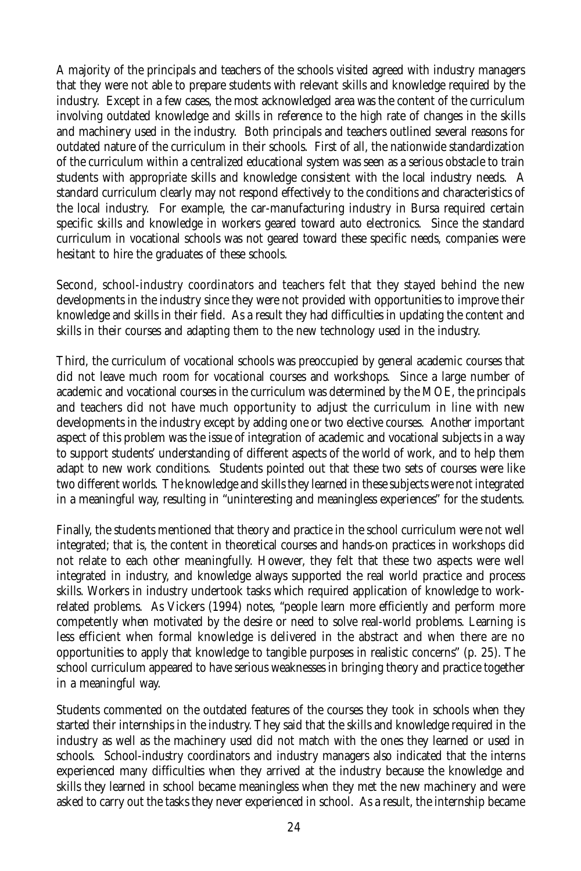A majority of the principals and teachers of the schools visited agreed with industry managers that they were not able to prepare students with relevant skills and knowledge required by the industry. Except in a few cases, the most acknowledged area was the content of the curriculum involving outdated knowledge and skills in reference to the high rate of changes in the skills and machinery used in the industry. Both principals and teachers outlined several reasons for outdated nature of the curriculum in their schools. First of all, the nationwide standardization of the curriculum within a centralized educational system was seen as a serious obstacle to train students with appropriate skills and knowledge consistent with the local industry needs. A standard curriculum clearly may not respond effectively to the conditions and characteristics of the local industry. For example, the car-manufacturing industry in Bursa required certain specific skills and knowledge in workers geared toward auto electronics. Since the standard curriculum in vocational schools was not geared toward these specific needs, companies were hesitant to hire the graduates of these schools.

Second, school-industry coordinators and teachers felt that they stayed behind the new developments in the industry since they were not provided with opportunities to improve their knowledge and skills in their field. As a result they had difficulties in updating the content and skills in their courses and adapting them to the new technology used in the industry.

Third, the curriculum of vocational schools was preoccupied by general academic courses that did not leave much room for vocational courses and workshops. Since a large number of academic and vocational courses in the curriculum was determined by the MOE, the principals and teachers did not have much opportunity to adjust the curriculum in line with new developments in the industry except by adding one or two elective courses. Another important aspect of this problem was the issue of integration of academic and vocational subjects in a way to support students' understanding of different aspects of the world of work, and to help them adapt to new work conditions. Students pointed out that these two sets of courses were like two different worlds. The knowledge and skills they learned in these subjects were not integrated in a meaningful way, resulting in "uninteresting and meaningless experiences" for the students.

Finally, the students mentioned that theory and practice in the school curriculum were not well integrated; that is, the content in theoretical courses and hands-on practices in workshops did not relate to each other meaningfully. However, they felt that these two aspects were well integrated in industry, and knowledge always supported the real world practice and process skills. Workers in industry undertook tasks which required application of knowledge to workrelated problems. As Vickers (1994) notes, "people learn more efficiently and perform more competently when motivated by the desire or need to solve real-world problems. Learning is less efficient when formal knowledge is delivered in the abstract and when there are no opportunities to apply that knowledge to tangible purposes in realistic concerns" (p. 25). The school curriculum appeared to have serious weaknesses in bringing theory and practice together in a meaningful way.

Students commented on the outdated features of the courses they took in schools when they started their internships in the industry. They said that the skills and knowledge required in the industry as well as the machinery used did not match with the ones they learned or used in schools. School-industry coordinators and industry managers also indicated that the interns experienced many difficulties when they arrived at the industry because the knowledge and skills they learned in school became meaningless when they met the new machinery and were asked to carry out the tasks they never experienced in school. As a result, the internship became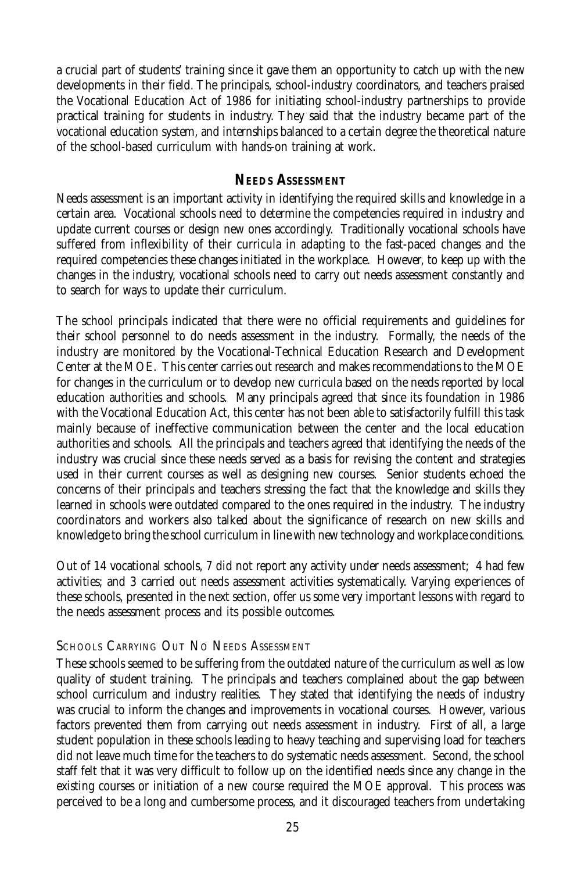a crucial part of students' training since it gave them an opportunity to catch up with the new developments in their field. The principals, school-industry coordinators, and teachers praised the Vocational Education Act of 1986 for initiating school-industry partnerships to provide practical training for students in industry. They said that the industry became part of the vocational education system, and internships balanced to a certain degree the theoretical nature of the school-based curriculum with hands-on training at work.

## **NEEDS ASSESSMENT**

Needs assessment is an important activity in identifying the required skills and knowledge in a certain area. Vocational schools need to determine the competencies required in industry and update current courses or design new ones accordingly. Traditionally vocational schools have suffered from inflexibility of their curricula in adapting to the fast-paced changes and the required competencies these changes initiated in the workplace. However, to keep up with the changes in the industry, vocational schools need to carry out needs assessment constantly and to search for ways to update their curriculum.

The school principals indicated that there were no official requirements and guidelines for their school personnel to do needs assessment in the industry. Formally, the needs of the industry are monitored by the Vocational-Technical Education Research and Development Center at the MOE. This center carries out research and makes recommendations to the MOE for changes in the curriculum or to develop new curricula based on the needs reported by local education authorities and schools. Many principals agreed that since its foundation in 1986 with the Vocational Education Act, this center has not been able to satisfactorily fulfill this task mainly because of ineffective communication between the center and the local education authorities and schools. All the principals and teachers agreed that identifying the needs of the industry was crucial since these needs served as a basis for revising the content and strategies used in their current courses as well as designing new courses. Senior students echoed the concerns of their principals and teachers stressing the fact that the knowledge and skills they learned in schools were outdated compared to the ones required in the industry. The industry coordinators and workers also talked about the significance of research on new skills and knowledge to bring the school curriculum in line with new technology and workplace conditions.

Out of 14 vocational schools, 7 did not report any activity under needs assessment; 4 had few activities; and 3 carried out needs assessment activities systematically. Varying experiences of these schools, presented in the next section, offer us some very important lessons with regard to the needs assessment process and its possible outcomes.

## SCHOOLS CARRYING OUT NO NEEDS ASSESSMENT

These schools seemed to be suffering from the outdated nature of the curriculum as well as low quality of student training. The principals and teachers complained about the gap between school curriculum and industry realities. They stated that identifying the needs of industry was crucial to inform the changes and improvements in vocational courses. However, various factors prevented them from carrying out needs assessment in industry. First of all, a large student population in these schools leading to heavy teaching and supervising load for teachers did not leave much time for the teachers to do systematic needs assessment. Second, the school staff felt that it was very difficult to follow up on the identified needs since any change in the existing courses or initiation of a new course required the MOE approval. This process was perceived to be a long and cumbersome process, and it discouraged teachers from undertaking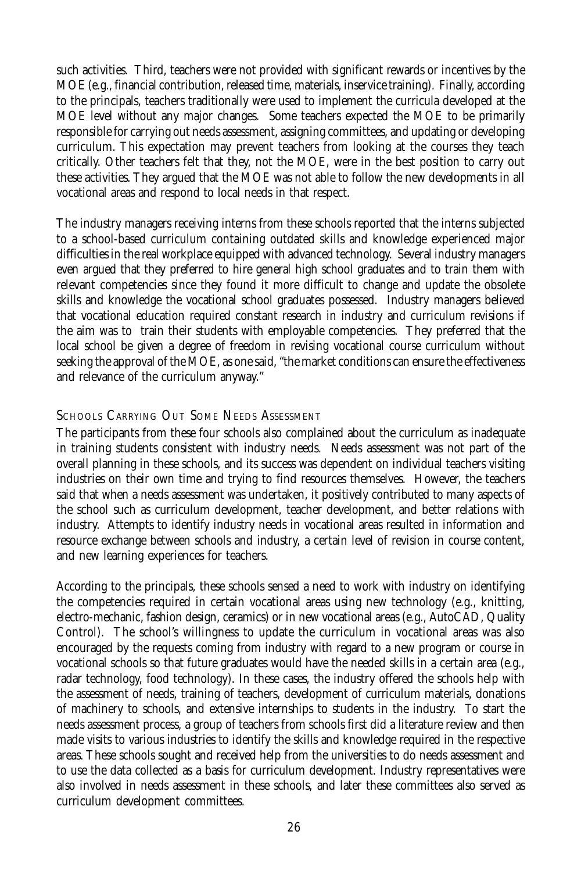such activities. Third, teachers were not provided with significant rewards or incentives by the MOE (e.g., financial contribution, released time, materials, inservice training). Finally, according to the principals, teachers traditionally were used to implement the curricula developed at the MOE level without any major changes. Some teachers expected the MOE to be primarily responsible for carrying out needs assessment, assigning committees, and updating or developing curriculum. This expectation may prevent teachers from looking at the courses they teach critically. Other teachers felt that they, not the MOE, were in the best position to carry out these activities. They argued that the MOE was not able to follow the new developments in all vocational areas and respond to local needs in that respect.

The industry managers receiving interns from these schools reported that the interns subjected to a school-based curriculum containing outdated skills and knowledge experienced major difficulties in the real workplace equipped with advanced technology. Several industry managers even argued that they preferred to hire general high school graduates and to train them with relevant competencies since they found it more difficult to change and update the obsolete skills and knowledge the vocational school graduates possessed. Industry managers believed that vocational education required constant research in industry and curriculum revisions if the aim was to train their students with employable competencies. They preferred that the local school be given a degree of freedom in revising vocational course curriculum without seeking the approval of the MOE, as one said, "the market conditions can ensure the effectiveness and relevance of the curriculum anyway."

#### SCHOOLS CARRYING OUT SOME NEEDS ASSESSMENT

The participants from these four schools also complained about the curriculum as inadequate in training students consistent with industry needs. Needs assessment was not part of the overall planning in these schools, and its success was dependent on individual teachers visiting industries on their own time and trying to find resources themselves. However, the teachers said that when a needs assessment was undertaken, it positively contributed to many aspects of the school such as curriculum development, teacher development, and better relations with industry. Attempts to identify industry needs in vocational areas resulted in information and resource exchange between schools and industry, a certain level of revision in course content, and new learning experiences for teachers.

According to the principals, these schools sensed a need to work with industry on identifying the competencies required in certain vocational areas using new technology (e.g., knitting, electro-mechanic, fashion design, ceramics) or in new vocational areas (e.g., AutoCAD, Quality Control). The school's willingness to update the curriculum in vocational areas was also encouraged by the requests coming from industry with regard to a new program or course in vocational schools so that future graduates would have the needed skills in a certain area (e.g., radar technology, food technology). In these cases, the industry offered the schools help with the assessment of needs, training of teachers, development of curriculum materials, donations of machinery to schools, and extensive internships to students in the industry. To start the needs assessment process, a group of teachers from schools first did a literature review and then made visits to various industries to identify the skills and knowledge required in the respective areas. These schools sought and received help from the universities to do needs assessment and to use the data collected as a basis for curriculum development. Industry representatives were also involved in needs assessment in these schools, and later these committees also served as curriculum development committees.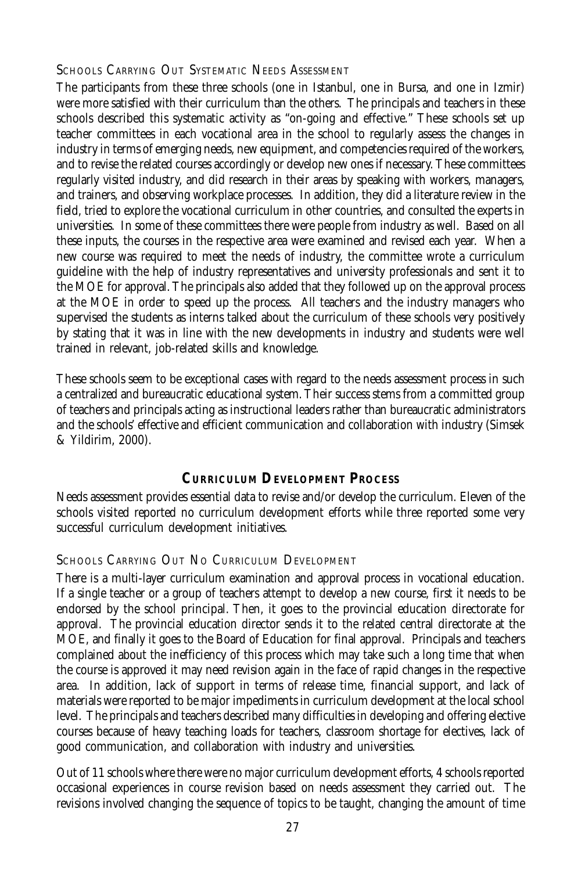SCHOOLS CARRYING OUT SYSTEMATIC NEEDS ASSESSMENT

The participants from these three schools (one in Istanbul, one in Bursa, and one in Izmir) were more satisfied with their curriculum than the others. The principals and teachers in these schools described this systematic activity as "on-going and effective." These schools set up teacher committees in each vocational area in the school to regularly assess the changes in industry in terms of emerging needs, new equipment, and competencies required of the workers, and to revise the related courses accordingly or develop new ones if necessary. These committees regularly visited industry, and did research in their areas by speaking with workers, managers, and trainers, and observing workplace processes. In addition, they did a literature review in the field, tried to explore the vocational curriculum in other countries, and consulted the experts in universities. In some of these committees there were people from industry as well. Based on all these inputs, the courses in the respective area were examined and revised each year. When a new course was required to meet the needs of industry, the committee wrote a curriculum guideline with the help of industry representatives and university professionals and sent it to the MOE for approval. The principals also added that they followed up on the approval process at the MOE in order to speed up the process. All teachers and the industry managers who supervised the students as interns talked about the curriculum of these schools very positively by stating that it was in line with the new developments in industry and students were well trained in relevant, job-related skills and knowledge.

These schools seem to be exceptional cases with regard to the needs assessment process in such a centralized and bureaucratic educational system. Their success stems from a committed group of teachers and principals acting as instructional leaders rather than bureaucratic administrators and the schools' effective and efficient communication and collaboration with industry (Simsek & Yildirim, 2000).

# **CURRICULUM DEVELOPMENT PROCESS**

Needs assessment provides essential data to revise and/or develop the curriculum. Eleven of the schools visited reported no curriculum development efforts while three reported some very successful curriculum development initiatives.

## SCHOOLS CARRYING OUT NO CURRICULUM DEVELOPMENT

There is a multi-layer curriculum examination and approval process in vocational education. If a single teacher or a group of teachers attempt to develop a new course, first it needs to be endorsed by the school principal. Then, it goes to the provincial education directorate for approval. The provincial education director sends it to the related central directorate at the MOE, and finally it goes to the Board of Education for final approval. Principals and teachers complained about the inefficiency of this process which may take such a long time that when the course is approved it may need revision again in the face of rapid changes in the respective area. In addition, lack of support in terms of release time, financial support, and lack of materials were reported to be major impediments in curriculum development at the local school level. The principals and teachers described many difficulties in developing and offering elective courses because of heavy teaching loads for teachers, classroom shortage for electives, lack of good communication, and collaboration with industry and universities.

Out of 11 schools where there were no major curriculum development efforts, 4 schools reported occasional experiences in course revision based on needs assessment they carried out. The revisions involved changing the sequence of topics to be taught, changing the amount of time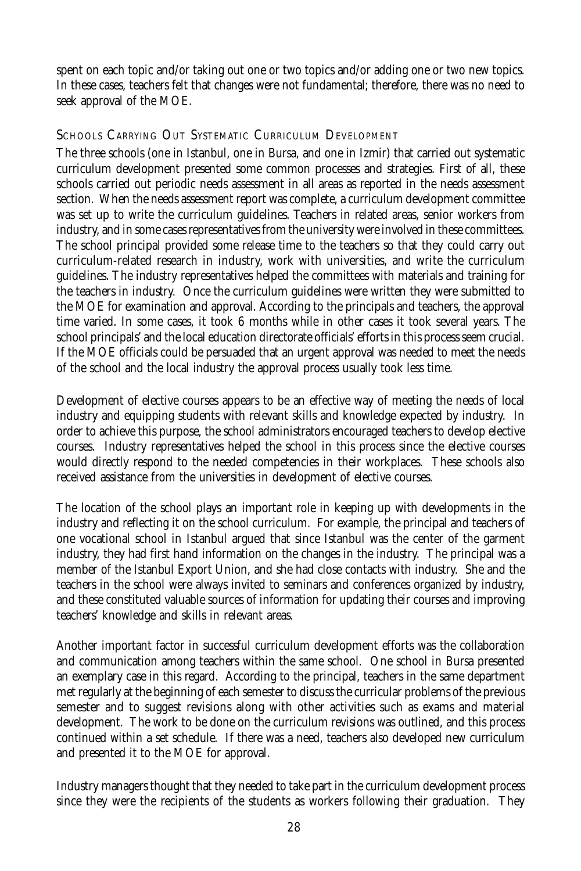spent on each topic and/or taking out one or two topics and/or adding one or two new topics. In these cases, teachers felt that changes were not fundamental; therefore, there was no need to seek approval of the MOE.

## SCHOOLS CARRYING OUT SYSTEMATIC CURRICULUM DEVELOPMENT

The three schools (one in Istanbul, one in Bursa, and one in Izmir) that carried out systematic curriculum development presented some common processes and strategies. First of all, these schools carried out periodic needs assessment in all areas as reported in the needs assessment section. When the needs assessment report was complete, a curriculum development committee was set up to write the curriculum guidelines. Teachers in related areas, senior workers from industry, and in some cases representatives from the university were involved in these committees. The school principal provided some release time to the teachers so that they could carry out curriculum-related research in industry, work with universities, and write the curriculum guidelines. The industry representatives helped the committees with materials and training for the teachers in industry. Once the curriculum guidelines were written they were submitted to the MOE for examination and approval. According to the principals and teachers, the approval time varied. In some cases, it took 6 months while in other cases it took several years. The school principals' and the local education directorate officials' efforts in this process seem crucial. If the MOE officials could be persuaded that an urgent approval was needed to meet the needs of the school and the local industry the approval process usually took less time.

Development of elective courses appears to be an effective way of meeting the needs of local industry and equipping students with relevant skills and knowledge expected by industry. In order to achieve this purpose, the school administrators encouraged teachers to develop elective courses. Industry representatives helped the school in this process since the elective courses would directly respond to the needed competencies in their workplaces. These schools also received assistance from the universities in development of elective courses.

The location of the school plays an important role in keeping up with developments in the industry and reflecting it on the school curriculum. For example, the principal and teachers of one vocational school in Istanbul argued that since Istanbul was the center of the garment industry, they had first hand information on the changes in the industry. The principal was a member of the Istanbul Export Union, and she had close contacts with industry. She and the teachers in the school were always invited to seminars and conferences organized by industry, and these constituted valuable sources of information for updating their courses and improving teachers' knowledge and skills in relevant areas.

Another important factor in successful curriculum development efforts was the collaboration and communication among teachers within the same school. One school in Bursa presented an exemplary case in this regard. According to the principal, teachers in the same department met regularly at the beginning of each semester to discuss the curricular problems of the previous semester and to suggest revisions along with other activities such as exams and material development. The work to be done on the curriculum revisions was outlined, and this process continued within a set schedule. If there was a need, teachers also developed new curriculum and presented it to the MOE for approval.

Industry managers thought that they needed to take part in the curriculum development process since they were the recipients of the students as workers following their graduation. They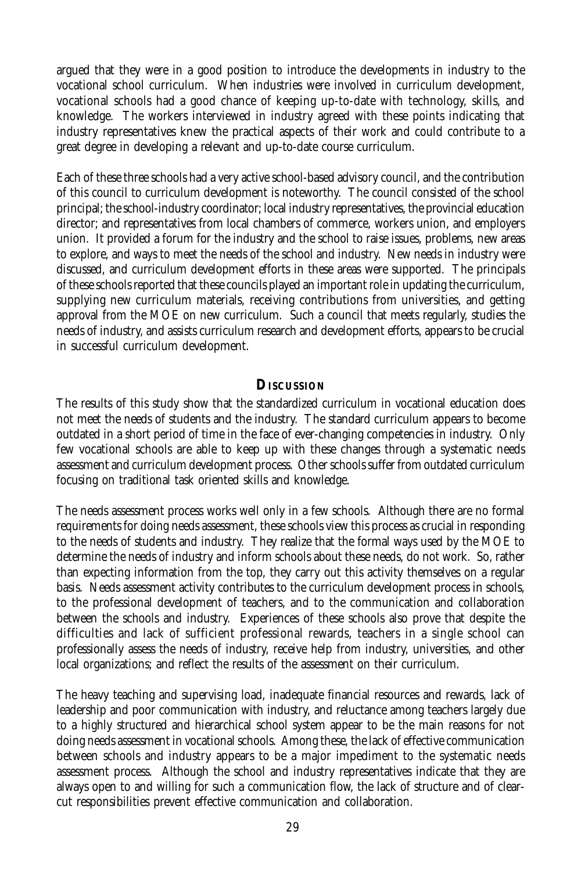argued that they were in a good position to introduce the developments in industry to the vocational school curriculum. When industries were involved in curriculum development, vocational schools had a good chance of keeping up-to-date with technology, skills, and knowledge. The workers interviewed in industry agreed with these points indicating that industry representatives knew the practical aspects of their work and could contribute to a great degree in developing a relevant and up-to-date course curriculum.

Each of these three schools had a very active school-based advisory council, and the contribution of this council to curriculum development is noteworthy. The council consisted of the school principal; the school-industry coordinator; local industry representatives, the provincial education director; and representatives from local chambers of commerce, workers union, and employers union. It provided a forum for the industry and the school to raise issues, problems, new areas to explore, and ways to meet the needs of the school and industry. New needs in industry were discussed, and curriculum development efforts in these areas were supported. The principals of these schools reported that these councils played an important role in updating the curriculum, supplying new curriculum materials, receiving contributions from universities, and getting approval from the MOE on new curriculum. Such a council that meets regularly, studies the needs of industry, and assists curriculum research and development efforts, appears to be crucial in successful curriculum development.

## **DISCUSSION**

The results of this study show that the standardized curriculum in vocational education does not meet the needs of students and the industry. The standard curriculum appears to become outdated in a short period of time in the face of ever-changing competencies in industry. Only few vocational schools are able to keep up with these changes through a systematic needs assessment and curriculum development process. Other schools suffer from outdated curriculum focusing on traditional task oriented skills and knowledge.

The needs assessment process works well only in a few schools. Although there are no formal requirements for doing needs assessment, these schools view this process as crucial in responding to the needs of students and industry. They realize that the formal ways used by the MOE to determine the needs of industry and inform schools about these needs, do not work. So, rather than expecting information from the top, they carry out this activity themselves on a regular basis. Needs assessment activity contributes to the curriculum development process in schools, to the professional development of teachers, and to the communication and collaboration between the schools and industry. Experiences of these schools also prove that despite the difficulties and lack of sufficient professional rewards, teachers in a single school can professionally assess the needs of industry, receive help from industry, universities, and other local organizations; and reflect the results of the assessment on their curriculum.

The heavy teaching and supervising load, inadequate financial resources and rewards, lack of leadership and poor communication with industry, and reluctance among teachers largely due to a highly structured and hierarchical school system appear to be the main reasons for not doing needs assessment in vocational schools. Among these, the lack of effective communication between schools and industry appears to be a major impediment to the systematic needs assessment process. Although the school and industry representatives indicate that they are always open to and willing for such a communication flow, the lack of structure and of clearcut responsibilities prevent effective communication and collaboration.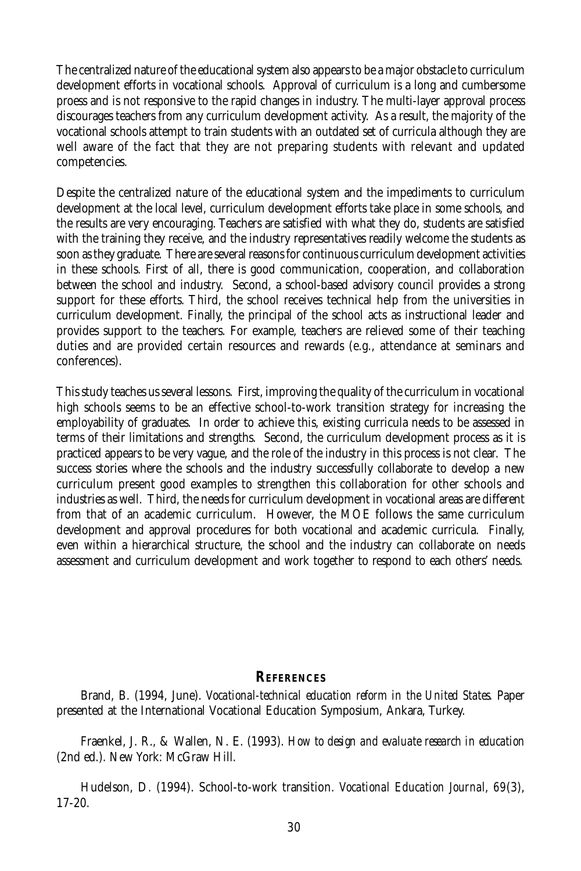The centralized nature of the educational system also appears to be a major obstacle to curriculum development efforts in vocational schools. Approval of curriculum is a long and cumbersome proess and is not responsive to the rapid changes in industry. The multi-layer approval process discourages teachers from any curriculum development activity. As a result, the majority of the vocational schools attempt to train students with an outdated set of curricula although they are well aware of the fact that they are not preparing students with relevant and updated competencies.

Despite the centralized nature of the educational system and the impediments to curriculum development at the local level, curriculum development efforts take place in some schools, and the results are very encouraging. Teachers are satisfied with what they do, students are satisfied with the training they receive, and the industry representatives readily welcome the students as soon as they graduate. There are several reasons for continuous curriculum development activities in these schools. First of all, there is good communication, cooperation, and collaboration between the school and industry. Second, a school-based advisory council provides a strong support for these efforts. Third, the school receives technical help from the universities in curriculum development. Finally, the principal of the school acts as instructional leader and provides support to the teachers. For example, teachers are relieved some of their teaching duties and are provided certain resources and rewards (e.g., attendance at seminars and conferences).

This study teaches us several lessons. First, improving the quality of the curriculum in vocational high schools seems to be an effective school-to-work transition strategy for increasing the employability of graduates. In order to achieve this, existing curricula needs to be assessed in terms of their limitations and strengths. Second, the curriculum development process as it is practiced appears to be very vague, and the role of the industry in this process is not clear. The success stories where the schools and the industry successfully collaborate to develop a new curriculum present good examples to strengthen this collaboration for other schools and industries as well. Third, the needs for curriculum development in vocational areas are different from that of an academic curriculum. However, the MOE follows the same curriculum development and approval procedures for both vocational and academic curricula. Finally, even within a hierarchical structure, the school and the industry can collaborate on needs assessment and curriculum development and work together to respond to each others' needs.

#### **REFERENCES**

Brand, B. (1994, June). *Vocational-technical education reform in the United States*. Paper presented at the International Vocational Education Symposium, Ankara, Turkey.

Fraenkel, J. R., & Wallen, N. E. (1993). *How to design and evaluate research in education* (2nd ed.). New York: McGraw Hill.

Hudelson, D. (1994). School-to-work transition. *Vocational Education Journal*, *69*(3), 17-20.